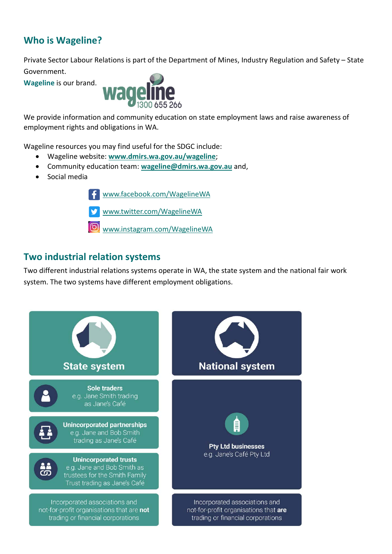# **Who is Wageline?**

Private Sector Labour Relations is part of the Department of Mines, Industry Regulation and Safety – State Government.

**Wageline** is our brand.



We provide information and community education on state employment laws and raise awareness of employment rights and obligations in WA.

Wageline resources you may find useful for the SDGC include:

- Wageline website: **[www.dmirs.wa.gov.au/wageline](http://www.dmirs.wa.gov.au/wageline)**;
- Community education team: **[wageline@dmirs.wa.gov.au](mailto:wageline@dmirs.wa.gov.au)** and,
- Social media

[www.facebook.com/WagelineWA](http://www.facebook.com/WagelineWA) 

[www.twitter.com/WagelineWA](http://www.twitter.com/WagelineWA) 

[www.instagram.com/WagelineWA](http://www.instagram.com/WagelineWA)

## **Two industrial relation systems**

Two different industrial relations systems operate in WA, the state system and the national fair work system. The two systems have different employment obligations.

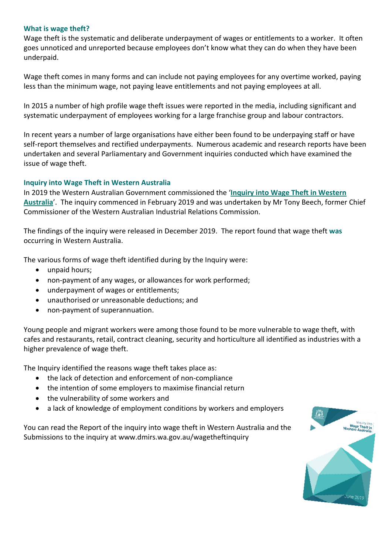#### **What is wage theft?**

Wage theft is the systematic and deliberate underpayment of wages or entitlements to a worker. It often goes unnoticed and unreported because employees don't know what they can do when they have been underpaid.

Wage theft comes in many forms and can include not paying employees for any overtime worked, paying less than the minimum wage, not paying leave entitlements and not paying employees at all.

In 2015 a number of high profile wage theft issues were reported in the media, including significant and systematic underpayment of employees working for a large franchise group and labour contractors.

In recent years a number of large organisations have either been found to be underpaying staff or have self-report themselves and rectified underpayments. Numerous academic and research reports have been undertaken and several Parliamentary and Government inquiries conducted which have examined the issue of wage theft.

#### **Inquiry into Wage Theft in Western Australia**

In 2019 the Western Australian Government commissioned the '**[Inquiry into Wage Theft in Western](https://www.commerce.wa.gov.au/labour-relations/inquiry-wage-theft-western-australia)  [Australia](https://www.commerce.wa.gov.au/labour-relations/inquiry-wage-theft-western-australia)**'. The inquiry commenced in February 2019 and was undertaken by Mr Tony Beech, former Chief Commissioner of the Western Australian Industrial Relations Commission.

The findings of the inquiry were released in December 2019. The report found that wage theft **was** occurring in Western Australia.

The various forms of wage theft identified during by the Inquiry were:

- unpaid hours;
- non-payment of any wages, or allowances for work performed;
- underpayment of wages or entitlements;
- unauthorised or unreasonable deductions; and
- non-payment of superannuation.

Young people and migrant workers were among those found to be more vulnerable to wage theft, with cafes and restaurants, retail, contract cleaning, security and horticulture all identified as industries with a higher prevalence of wage theft.

The Inquiry identified the reasons wage theft takes place as:

- the lack of detection and enforcement of non-compliance
- the intention of some employers to maximise financial return
- the vulnerability of some workers and
- a lack of knowledge of employment conditions by workers and employers

You can read the Report of the inquiry into wage theft in Western Australia and the Submissions to the inquiry at www.dmirs.wa.gov.au/wagetheftinquiry

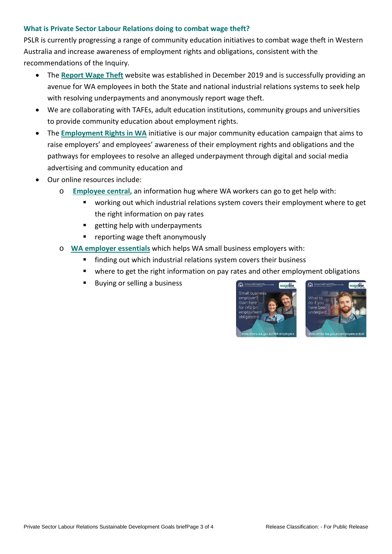#### **What is Private Sector Labour Relations doing to combat wage theft?**

PSLR is currently progressing a range of community education initiatives to combat wage theft in Western Australia and increase awareness of employment rights and obligations, consistent with the recommendations of the Inquiry.

- The **[Report Wage Theft](http://www.wagetheft.wa.gov.au/)** website was established in December 2019 and is successfully providing an avenue for WA employees in both the State and national industrial relations systems to seek help with resolving underpayments and anonymously report wage theft.
- We are collaborating with TAFEs, adult education institutions, community groups and universities to provide community education about employment rights.
- The **[Employment Rights in WA](https://www.commerce.wa.gov.au/labour-relations/employment-rights-wa-initiative)** initiative is our major community education campaign that aims to raise employers' and employees' awareness of their employment rights and obligations and the pathways for employees to resolve an alleged underpayment through digital and social media advertising and community education and
- Our online resources include:
	- o **[Employee central,](http://www.dmirs.wa.gov.au/employeecentral)** an information hug where WA workers can go to get help with:
		- working out which industrial relations system covers their employment where to get the right information on pay rates
		- getting help with underpayments
		- reporting wage theft anonymously
	- o **[WA employer essentials](http://www.dmirs.wa.gov.au/wa-employers)** which helps WA small business employers with:
		- finding out which industrial relations system covers their business
		- where to get the right information on pay rates and other employment obligations
		- Buying or selling a business